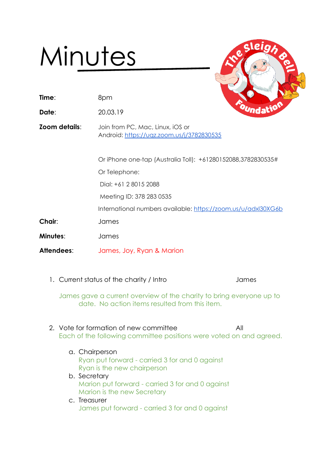## Minutes

- **Time**: 8pm
- **Date**: 20.03.19
- **Zoom details**: Join from PC, Mac, Linux, iOS or Android: <https://uqz.zoom.us/j/3782830535>

Or iPhone one-tap (Australia Toll): +61280152088,3782830535#

Or Telephone:

Dial: +61 2 8015 2088

Meeting ID: 378 283 0535

International numbers available: <https://zoom.us/u/adxl30XG6b>

**Chair**: James

**Minutes**: James

- **Attendees**: James, Joy, Ryan & Marion
	- 1. Current status of the charity / Intro **Interpretent contains the State State**

James gave a current overview of the charity to bring everyone up to date. No action items resulted from this item.

- 2. Vote for formation of new committee  $\blacksquare$ Each of the following committee positions were voted on and agreed.
	- a. Chairperson Ryan put forward - carried 3 for and 0 against Ryan is the new chairperson
	- b. Secretary Marion put forward - carried 3 for and 0 against Marion is the new Secretary
	- c. Treasurer James put forward - carried 3 for and 0 against

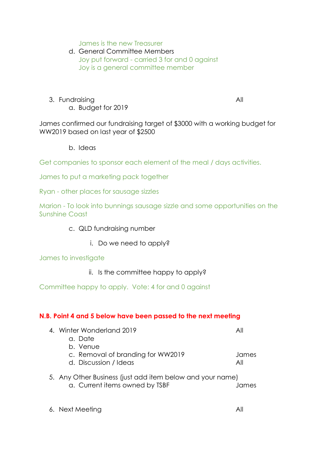James is the new Treasurer

d. General Committee Members Joy put forward - carried 3 for and 0 against Joy is a general committee member

3. Fundraising All a. Budget for 2019

James confirmed our fundraising target of \$3000 with a working budget for WW2019 based on last year of \$2500

b. Ideas

Get companies to sponsor each element of the meal / days activities.

James to put a marketing pack together

Ryan - other places for sausage sizzles

Marion - To look into bunnings sausage sizzle and some opportunities on the Sunshine Coast

- c. QLD fundraising number
	- i. Do we need to apply?

James to investigate

ii. Is the committee happy to apply?

Committee happy to apply. Vote: 4 for and 0 against

## **N.B. Point 4 and 5 below have been passed to the next meeting**

| 4. Winter Wonderland 2019                                 | All   |
|-----------------------------------------------------------|-------|
| a. Date                                                   |       |
| b. Venue                                                  |       |
| c. Removal of branding for WW2019                         | James |
| d. Discussion / Ideas                                     | All   |
| 5. Any Other Business (just add item below and your name) |       |
| a. Current items owned by TSBF                            | lames |
|                                                           |       |
|                                                           |       |

6. Next Meeting **All**